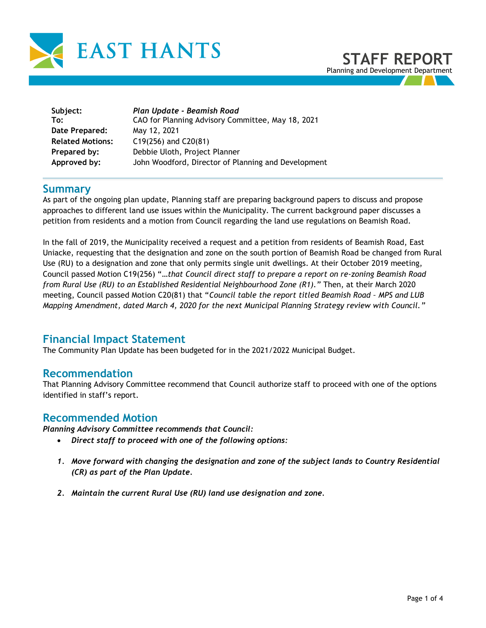

| Subject:                | Plan Update - Beamish Road                          |
|-------------------------|-----------------------------------------------------|
| To:                     | CAO for Planning Advisory Committee, May 18, 2021   |
| Date Prepared:          | May 12, 2021                                        |
| <b>Related Motions:</b> | $C19(256)$ and $C20(81)$                            |
| Prepared by:            | Debbie Uloth, Project Planner                       |
| Approved by:            | John Woodford, Director of Planning and Development |

### **Summary**

As part of the ongoing plan update, Planning staff are preparing background papers to discuss and propose approaches to different land use issues within the Municipality. The current background paper discusses a petition from residents and a motion from Council regarding the land use regulations on Beamish Road.

In the fall of 2019, the Municipality received a request and a petition from residents of Beamish Road, East Uniacke, requesting that the designation and zone on the south portion of Beamish Road be changed from Rural Use (RU) to a designation and zone that only permits single unit dwellings. At their October 2019 meeting, Council passed Motion C19(256) "*…that Council direct staff to prepare a report on re-zoning Beamish Road from Rural Use (RU) to an Established Residential Neighbourhood Zone (R1)."* Then, at their March 2020 meeting, Council passed Motion C20(81) that "*Council table the report titled Beamish Road – MPS and LUB Mapping Amendment, dated March 4, 2020 for the next Municipal Planning Strategy review with Council."*

### **Financial Impact Statement**

The Community Plan Update has been budgeted for in the 2021/2022 Municipal Budget.

### **Recommendation**

That Planning Advisory Committee recommend that Council authorize staff to proceed with one of the options identified in staff's report.

### **Recommended Motion**

*Planning Advisory Committee recommends that Council:* 

- *Direct staff to proceed with one of the following options:*
- *1. Move forward with changing the designation and zone of the subject lands to Country Residential (CR) as part of the Plan Update.*
- *2. Maintain the current Rural Use (RU) land use designation and zone.*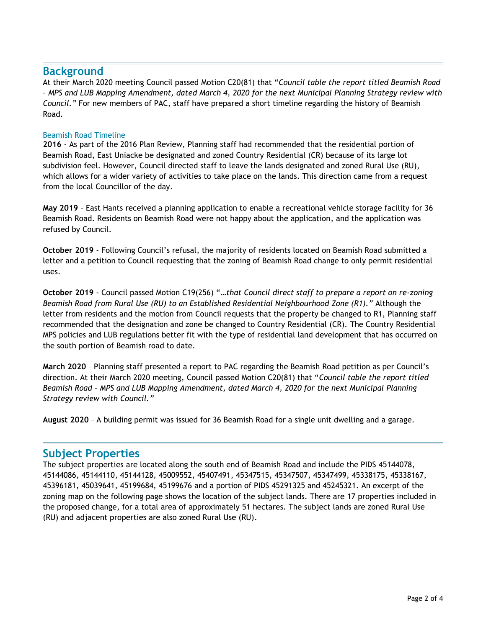### **Background**

At their March 2020 meeting Council passed Motion C20(81) that "*Council table the report titled Beamish Road – MPS and LUB Mapping Amendment, dated March 4, 2020 for the next Municipal Planning Strategy review with Council."* For new members of PAC, staff have prepared a short timeline regarding the history of Beamish Road.

#### Beamish Road Timeline

**2016** - As part of the 2016 Plan Review, Planning staff had recommended that the residential portion of Beamish Road, East Uniacke be designated and zoned Country Residential (CR) because of its large lot subdivision feel. However, Council directed staff to leave the lands designated and zoned Rural Use (RU), which allows for a wider variety of activities to take place on the lands. This direction came from a request from the local Councillor of the day.

**May 2019** – East Hants received a planning application to enable a recreational vehicle storage facility for 36 Beamish Road. Residents on Beamish Road were not happy about the application, and the application was refused by Council.

**October 2019** - Following Council's refusal, the majority of residents located on Beamish Road submitted a letter and a petition to Council requesting that the zoning of Beamish Road change to only permit residential uses.

**October 2019** - Council passed Motion C19(256) "*…that Council direct staff to prepare a report on re-zoning Beamish Road from Rural Use (RU) to an Established Residential Neighbourhood Zone (R1)."* Although the letter from residents and the motion from Council requests that the property be changed to R1, Planning staff recommended that the designation and zone be changed to Country Residential (CR). The Country Residential MPS policies and LUB regulations better fit with the type of residential land development that has occurred on the south portion of Beamish road to date.

**March 2020** – Planning staff presented a report to PAC regarding the Beamish Road petition as per Council's direction. At their March 2020 meeting, Council passed Motion C20(81) that "*Council table the report titled Beamish Road – MPS and LUB Mapping Amendment, dated March 4, 2020 for the next Municipal Planning Strategy review with Council."*

**August 2020** – A building permit was issued for 36 Beamish Road for a single unit dwelling and a garage.

### **Subject Properties**

The subject properties are located along the south end of Beamish Road and include the PIDS 45144078, 45144086, 45144110, 45144128, 45009552, 45407491, 45347515, 45347507, 45347499, 45338175, 45338167, 45396181, 45039641, 45199684, 45199676 and a portion of PIDS 45291325 and 45245321. An excerpt of the zoning map on the following page shows the location of the subject lands. There are 17 properties included in the proposed change, for a total area of approximately 51 hectares. The subject lands are zoned Rural Use (RU) and adjacent properties are also zoned Rural Use (RU).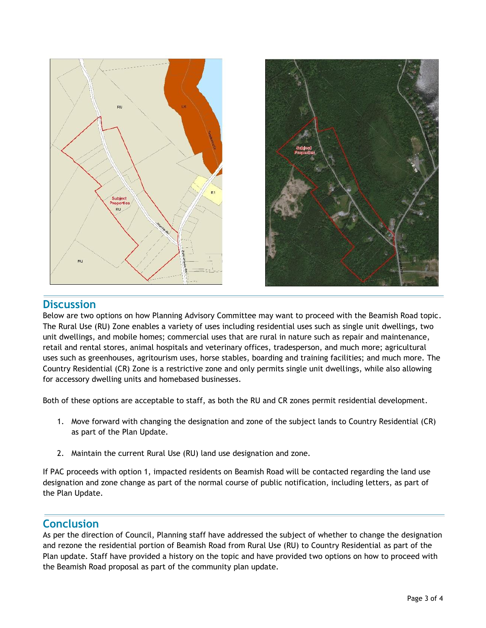



# **Discussion**

Below are two options on how Planning Advisory Committee may want to proceed with the Beamish Road topic. The Rural Use (RU) Zone enables a variety of uses including residential uses such as single unit dwellings, two unit dwellings, and mobile homes; commercial uses that are rural in nature such as repair and maintenance, retail and rental stores, animal hospitals and veterinary offices, tradesperson, and much more; agricultural uses such as greenhouses, agritourism uses, horse stables, boarding and training facilities; and much more. The Country Residential (CR) Zone is a restrictive zone and only permits single unit dwellings, while also allowing for accessory dwelling units and homebased businesses.

Both of these options are acceptable to staff, as both the RU and CR zones permit residential development.

- 1. Move forward with changing the designation and zone of the subject lands to Country Residential (CR) as part of the Plan Update.
- 2. Maintain the current Rural Use (RU) land use designation and zone.

If PAC proceeds with option 1, impacted residents on Beamish Road will be contacted regarding the land use designation and zone change as part of the normal course of public notification, including letters, as part of the Plan Update.

### **Conclusion**

As per the direction of Council, Planning staff have addressed the subject of whether to change the designation and rezone the residential portion of Beamish Road from Rural Use (RU) to Country Residential as part of the Plan update. Staff have provided a history on the topic and have provided two options on how to proceed with the Beamish Road proposal as part of the community plan update.